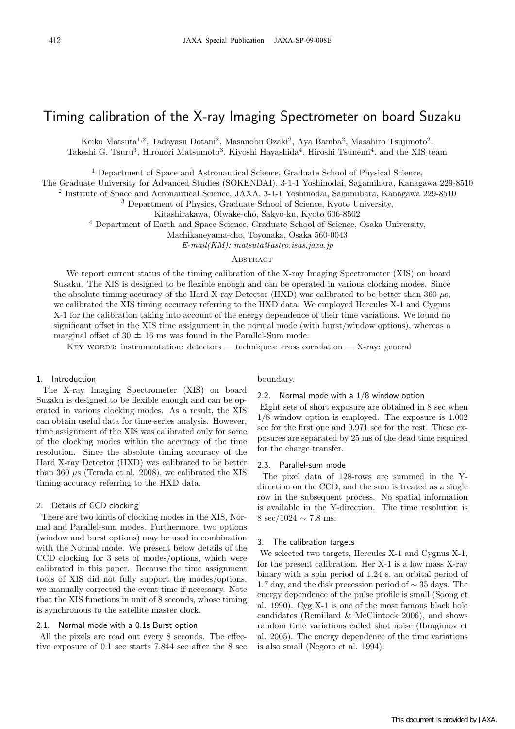# Timing calibration of the X-ray Imaging Spectrometer on board Suzaku

Keiko Matsuta<sup>1,2</sup>, Tadayasu Dotani<sup>2</sup>, Masanobu Ozaki<sup>2</sup>, Aya Bamba<sup>2</sup>, Masahiro Tsujimoto<sup>2</sup>,

Takeshi G. Tsuru<sup>3</sup>, Hironori Matsumoto<sup>3</sup>, Kiyoshi Hayashida<sup>4</sup>, Hiroshi Tsunemi<sup>4</sup>, and the XIS team

<sup>1</sup> Department of Space and Astronautical Science, Graduate School of Physical Science,

The Graduate University for Advanced Studies (SOKENDAI), 3-1-1 Yoshinodai, Sagamihara, Kanagawa 229-8510

<sup>2</sup> Institute of Space and Aeronautical Science, JAXA, 3-1-1 Yoshinodai, Sagamihara, Kanagawa 229-8510

<sup>3</sup> Department of Physics, Graduate School of Science, Kyoto University,

Kitashirakawa, Oiwake-cho, Sakyo-ku, Kyoto 606-8502

<sup>4</sup> Department of Earth and Space Science, Graduate School of Science, Osaka University,

Machikaneyama-cho, Toyonaka, Osaka 560-0043

*E-mail(KM): matsuta@astro.isas.jaxa.jp*

## **ABSTRACT**

We report current status of the timing calibration of the X-ray Imaging Spectrometer (XIS) on board Suzaku. The XIS is designed to be flexible enough and can be operated in various clocking modes. Since the absolute timing accuracy of the Hard X-ray Detector (HXD) was calibrated to be better than 360 *µ*s, we calibrated the XIS timing accuracy referring to the HXD data. We employed Hercules X-1 and Cygnus X-1 for the calibration taking into account of the energy dependence of their time variations. We found no significant offset in the XIS time assignment in the normal mode (with burst/window options), whereas a marginal offset of  $30 \pm 16$  ms was found in the Parallel-Sum mode.

KEY WORDS: instrumentation: detectors — techniques: cross correlation — X-ray: general

## 1. Introduction

The X-ray Imaging Spectrometer (XIS) on board Suzaku is designed to be flexible enough and can be operated in various clocking modes. As a result, the XIS can obtain useful data for time-series analysis. However, time assignment of the XIS was calibrated only for some of the clocking modes within the accuracy of the time resolution. Since the absolute timing accuracy of the Hard X-ray Detector (HXD) was calibrated to be better than 360 *µ*s (Terada et al. 2008), we calibrated the XIS timing accuracy referring to the HXD data.

## 2. Details of CCD clocking

There are two kinds of clocking modes in the XIS, Normal and Parallel-sum modes. Furthermore, two options (window and burst options) may be used in combination with the Normal mode. We present below details of the CCD clocking for 3 sets of modes/options, which were calibrated in this paper. Because the time assignment tools of XIS did not fully support the modes/options, we manually corrected the event time if necessary. Note that the XIS functions in unit of 8 seconds, whose timing is synchronous to the satellite master clock.

#### 2.1. Normal mode with a 0.1s Burst option

All the pixels are read out every 8 seconds. The effective exposure of 0.1 sec starts 7.844 sec after the 8 sec

#### boundary.

## 2.2. Normal mode with a 1/8 window option

Eight sets of short exposure are obtained in 8 sec when 1/8 window option is employed. The exposure is 1.002 sec for the first one and 0.971 sec for the rest. These exposures are separated by 25 ms of the dead time required for the charge transfer.

#### 2.3. Parallel-sum mode

The pixel data of 128-rows are summed in the Ydirection on the CCD, and the sum is treated as a single row in the subsequent process. No spatial information is available in the Y-direction. The time resolution is 8 sec/1024 *∼* 7.8 ms.

#### 3. The calibration targets

We selected two targets, Hercules X-1 and Cygnus X-1, for the present calibration. Her X-1 is a low mass X-ray binary with a spin period of 1.24 s, an orbital period of 1.7 day, and the disk precession period of *∼* 35 days. The energy dependence of the pulse profile is small (Soong et al. 1990). Cyg X-1 is one of the most famous black hole candidates (Remillard & McClintock 2006), and shows random time variations called shot noise (Ibragimov et al. 2005). The energy dependence of the time variations is also small (Negoro et al. 1994).